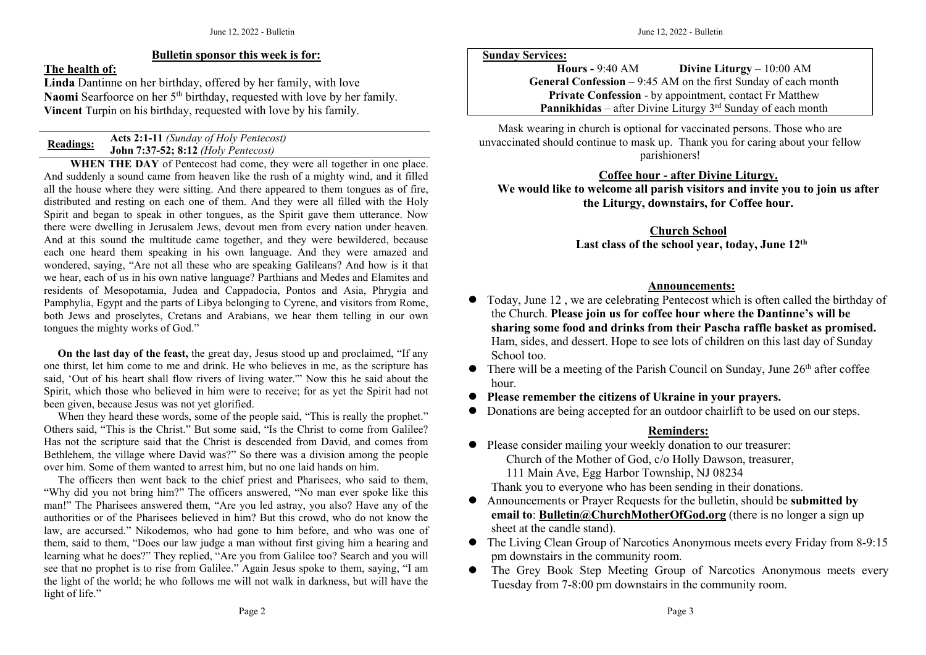## **Bulletin sponsor this week is for:**

### **The health of:**

**Linda** Dantinne on her birthday, offered by her family, with love **Naomi** Searfoorce on her 5 th birthday, requested with love by her family. **Vincent** Turpin on his birthday, requested with love by his family.

|                  | <b>Acts 2:1-11 (Sunday of Holy Pentecost)</b> |
|------------------|-----------------------------------------------|
| <b>Readings:</b> | <b>John 7:37-52; 8:12</b> (Holy Pentecost)    |

**WHEN THE DAY** of Pentecost had come, they were all together in one place. And suddenly a sound came from heaven like the rush of a mighty wind, and it filled all the house where they were sitting. And there appeared to them tongues as of fire, distributed and resting on each one of them. And they were all filled with the Holy Spirit and began to speak in other tongues, as the Spirit gave them utterance. Now there were dwelling in Jerusalem Jews, devout men from every nation under heaven. And at this sound the multitude came together, and they were bewildered, because each one heard them speaking in his own language. And they were amazed and wondered, saying, "Are not all these who are speaking Galileans? And how is it that we hear, each of us in his own native language? Parthians and Medes and Elamites and residents of Mesopotamia, Judea and Cappadocia, Pontos and Asia, Phrygia and Pamphylia, Egypt and the parts of Libya belonging to Cyrene, and visitors from Rome, both Jews and proselytes, Cretans and Arabians, we hear them telling in our own tongues the mighty works of God."

**On the last day of the feast,** the great day, Jesus stood up and proclaimed, "If any one thirst, let him come to me and drink. He who believes in me, as the scripture has said, 'Out of his heart shall flow rivers of living water.'" Now this he said about the Spirit, which those who believed in him were to receive; for as yet the Spirit had not been given, because Jesus was not yet glorified.

When they heard these words, some of the people said, "This is really the prophet." Others said, "This is the Christ." But some said, "Is the Christ to come from Galilee? Has not the scripture said that the Christ is descended from David, and comes from Bethlehem, the village where David was?" So there was a division among the people over him. Some of them wanted to arrest him, but no one laid hands on him.

The officers then went back to the chief priest and Pharisees, who said to them, "Why did you not bring him?" The officers answered, "No man ever spoke like this man!" The Pharisees answered them, "Are you led astray, you also? Have any of the authorities or of the Pharisees believed in him? But this crowd, who do not know the law, are accursed." Nikodemos, who had gone to him before, and who was one of them, said to them, "Does our law judge a man without first giving him a hearing and learning what he does?" They replied, "Are you from Galilee too? Search and you will see that no prophet is to rise from Galilee." Again Jesus spoke to them, saying, "I am the light of the world; he who follows me will not walk in darkness, but will have the light of life."

#### **Sunday Services:**

**Hours -** 9:40 AM **Divine Liturgy** – 10:00 AM **General Confession** – 9:45 AM on the first Sunday of each month **Private Confession** - by appointment, contact Fr Matthew **Pannikhidas** – after Divine Liturgy 3<sup>rd</sup> Sunday of each month

Mask wearing in church is optional for vaccinated persons. Those who are unvaccinated should continue to mask up. Thank you for caring about your fellow parishioners!

### **Coffee hour - after Divine Liturgy.**

**We would like to welcome all parish visitors and invite you tojoin us after the Liturgy, downstairs, for Coffee hour.**

> **Church School** Last class of the school year, today, June  $12<sup>th</sup>$ **th**

### **Announcements:**

- Today, June 12, we are celebrating Pentecost which is often called the birthday of the Church. **Please join us for coffee hour where the Dantinne's will be sharing some food and drinks from their Pascha raffle basket as promised.** Ham, sides, and dessert. Hope to see lots of children on this last day of Sunday School too.
- $\bullet$  There will be a meeting of the Parish Council on Sunday, June  $26<sup>th</sup>$  after coffee hour.
- **Please remember the citizens ofUkraine in your prayers.**
- Donations are being accepted for an outdoor chairlift to be used on our steps.

## **Reminders:**

• Please consider mailing your weekly donation to our treasurer: Church of the Mother of God, c/o Holly Dawson, treasurer, 111 Main Ave, Egg Harbor Township, NJ 08234

Thank you to everyone who has been sending in their donations.

- Announcements orPrayer Requests for the bulletin, should be **submitted by email to**: **[Bulletin@ChurchMotherOfGod.org](mailto:Bulletin@ChurchMotherOfGod.org)** (there is no longer a sign up sheet at the candle stand).
- The Living Clean Group of Narcotics Anonymous meets every Friday from 8-9:15 pm downstairs in the community room.
- The Grey Book Step Meeting Group of Narcotics Anonymous meets every Tuesday from 7-8:00 pm downstairs in the community room.